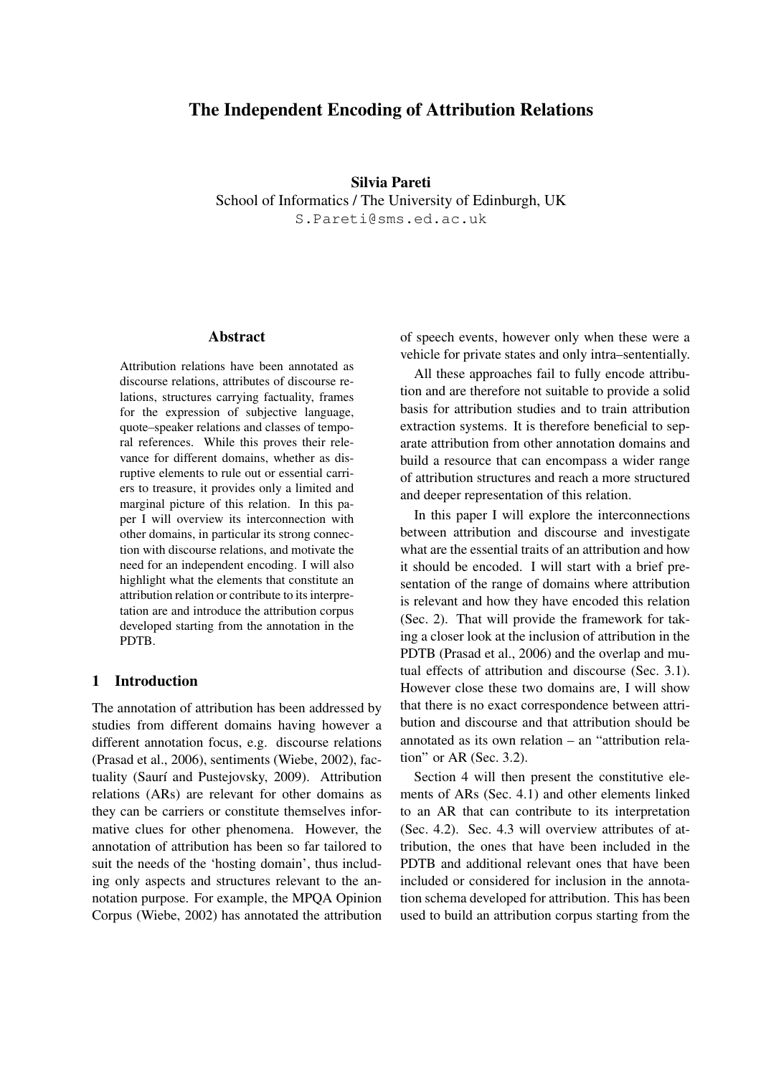# The Independent Encoding of Attribution Relations

## Silvia Pareti

School of Informatics / The University of Edinburgh, UK

S.Pareti@sms.ed.ac.uk

#### Abstract

Attribution relations have been annotated as discourse relations, attributes of discourse relations, structures carrying factuality, frames for the expression of subjective language, quote–speaker relations and classes of temporal references. While this proves their relevance for different domains, whether as disruptive elements to rule out or essential carriers to treasure, it provides only a limited and marginal picture of this relation. In this paper I will overview its interconnection with other domains, in particular its strong connection with discourse relations, and motivate the need for an independent encoding. I will also highlight what the elements that constitute an attribution relation or contribute to its interpretation are and introduce the attribution corpus developed starting from the annotation in the PDTB.

# 1 Introduction

The annotation of attribution has been addressed by studies from different domains having however a different annotation focus, e.g. discourse relations (Prasad et al., 2006), sentiments (Wiebe, 2002), factuality (Saurí and Pustejovsky, 2009). Attribution relations (ARs) are relevant for other domains as they can be carriers or constitute themselves informative clues for other phenomena. However, the annotation of attribution has been so far tailored to suit the needs of the 'hosting domain', thus including only aspects and structures relevant to the annotation purpose. For example, the MPQA Opinion Corpus (Wiebe, 2002) has annotated the attribution of speech events, however only when these were a vehicle for private states and only intra–sententially.

All these approaches fail to fully encode attribution and are therefore not suitable to provide a solid basis for attribution studies and to train attribution extraction systems. It is therefore beneficial to separate attribution from other annotation domains and build a resource that can encompass a wider range of attribution structures and reach a more structured and deeper representation of this relation.

In this paper I will explore the interconnections between attribution and discourse and investigate what are the essential traits of an attribution and how it should be encoded. I will start with a brief presentation of the range of domains where attribution is relevant and how they have encoded this relation (Sec. 2). That will provide the framework for taking a closer look at the inclusion of attribution in the PDTB (Prasad et al., 2006) and the overlap and mutual effects of attribution and discourse (Sec. 3.1). However close these two domains are, I will show that there is no exact correspondence between attribution and discourse and that attribution should be annotated as its own relation – an "attribution relation" or AR (Sec. 3.2).

Section 4 will then present the constitutive elements of ARs (Sec. 4.1) and other elements linked to an AR that can contribute to its interpretation (Sec. 4.2). Sec. 4.3 will overview attributes of attribution, the ones that have been included in the PDTB and additional relevant ones that have been included or considered for inclusion in the annotation schema developed for attribution. This has been used to build an attribution corpus starting from the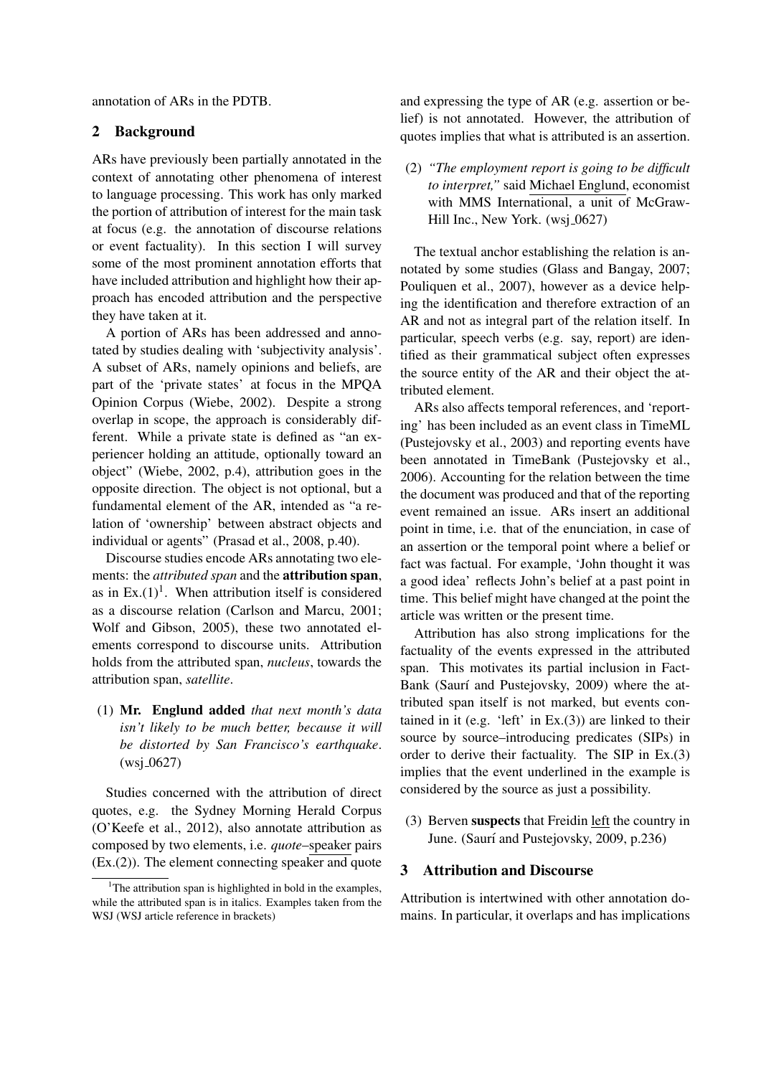annotation of ARs in the PDTB.

## 2 Background

ARs have previously been partially annotated in the context of annotating other phenomena of interest to language processing. This work has only marked the portion of attribution of interest for the main task at focus (e.g. the annotation of discourse relations or event factuality). In this section I will survey some of the most prominent annotation efforts that have included attribution and highlight how their approach has encoded attribution and the perspective they have taken at it.

A portion of ARs has been addressed and annotated by studies dealing with 'subjectivity analysis'. A subset of ARs, namely opinions and beliefs, are part of the 'private states' at focus in the MPQA Opinion Corpus (Wiebe, 2002). Despite a strong overlap in scope, the approach is considerably different. While a private state is defined as "an experiencer holding an attitude, optionally toward an object" (Wiebe, 2002, p.4), attribution goes in the opposite direction. The object is not optional, but a fundamental element of the AR, intended as "a relation of 'ownership' between abstract objects and individual or agents" (Prasad et al., 2008, p.40).

Discourse studies encode ARs annotating two elements: the *attributed span* and the attribution span, as in  $Ex.(1)^1$ . When attribution itself is considered as a discourse relation (Carlson and Marcu, 2001; Wolf and Gibson, 2005), these two annotated elements correspond to discourse units. Attribution holds from the attributed span, *nucleus*, towards the attribution span, *satellite*.

(1) Mr. Englund added *that next month's data isn't likely to be much better, because it will be distorted by San Francisco's earthquake*.  $(wsi_0 627)$ 

Studies concerned with the attribution of direct quotes, e.g. the Sydney Morning Herald Corpus (O'Keefe et al., 2012), also annotate attribution as composed by two elements, i.e. *quote*–speaker pairs (Ex.(2)). The element connecting speaker and quote and expressing the type of AR (e.g. assertion or belief) is not annotated. However, the attribution of quotes implies that what is attributed is an assertion.

(2) *"The employment report is going to be difficult to interpret,"* said Michael Englund, economist with MMS International, a unit of McGraw-Hill Inc., New York. (wsj\_0627)

The textual anchor establishing the relation is annotated by some studies (Glass and Bangay, 2007; Pouliquen et al., 2007), however as a device helping the identification and therefore extraction of an AR and not as integral part of the relation itself. In particular, speech verbs (e.g. say, report) are identified as their grammatical subject often expresses the source entity of the AR and their object the attributed element.

ARs also affects temporal references, and 'reporting' has been included as an event class in TimeML (Pustejovsky et al., 2003) and reporting events have been annotated in TimeBank (Pustejovsky et al., 2006). Accounting for the relation between the time the document was produced and that of the reporting event remained an issue. ARs insert an additional point in time, i.e. that of the enunciation, in case of an assertion or the temporal point where a belief or fact was factual. For example, 'John thought it was a good idea' reflects John's belief at a past point in time. This belief might have changed at the point the article was written or the present time.

Attribution has also strong implications for the factuality of the events expressed in the attributed span. This motivates its partial inclusion in Fact-Bank (Saurí and Pustejovsky, 2009) where the attributed span itself is not marked, but events contained in it (e.g. 'left' in  $Ex.(3)$ ) are linked to their source by source–introducing predicates (SIPs) in order to derive their factuality. The SIP in Ex.(3) implies that the event underlined in the example is considered by the source as just a possibility.

(3) Berven suspects that Freidin left the country in June. (Saurí and Pustejovsky, 2009, p.236)

## 3 Attribution and Discourse

Attribution is intertwined with other annotation domains. In particular, it overlaps and has implications

<sup>&</sup>lt;sup>1</sup>The attribution span is highlighted in bold in the examples, while the attributed span is in italics. Examples taken from the WSJ (WSJ article reference in brackets)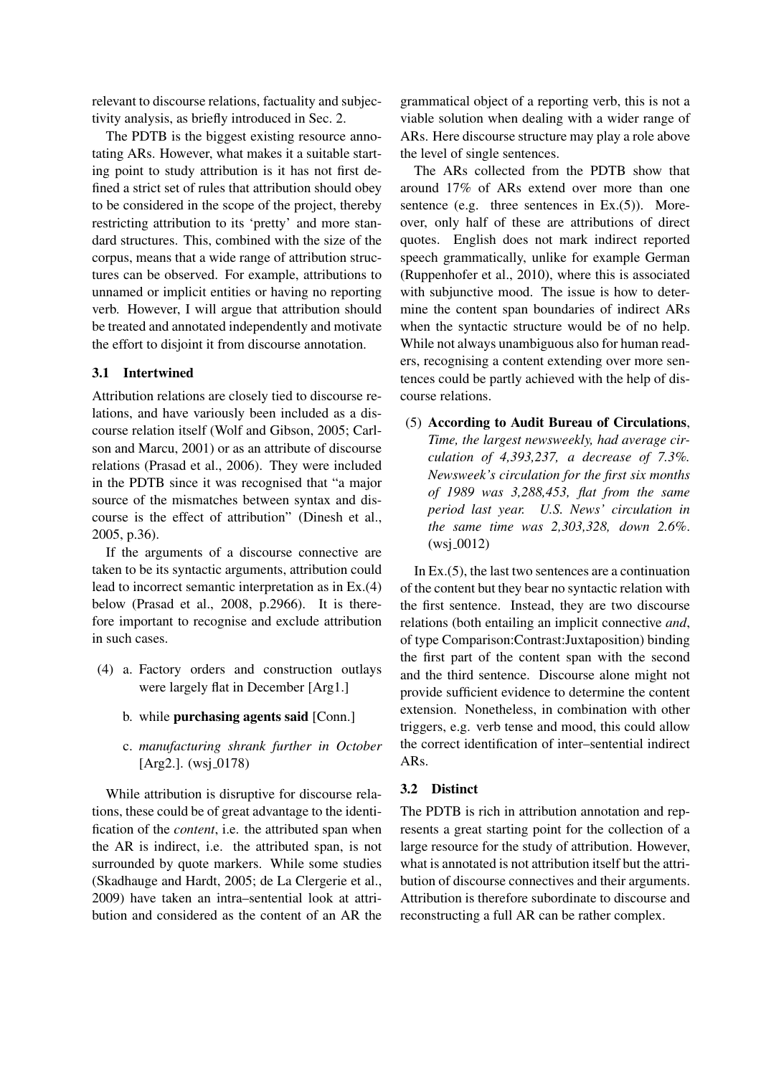relevant to discourse relations, factuality and subjectivity analysis, as briefly introduced in Sec. 2.

The PDTB is the biggest existing resource annotating ARs. However, what makes it a suitable starting point to study attribution is it has not first defined a strict set of rules that attribution should obey to be considered in the scope of the project, thereby restricting attribution to its 'pretty' and more standard structures. This, combined with the size of the corpus, means that a wide range of attribution structures can be observed. For example, attributions to unnamed or implicit entities or having no reporting verb. However, I will argue that attribution should be treated and annotated independently and motivate the effort to disjoint it from discourse annotation.

# 3.1 Intertwined

Attribution relations are closely tied to discourse relations, and have variously been included as a discourse relation itself (Wolf and Gibson, 2005; Carlson and Marcu, 2001) or as an attribute of discourse relations (Prasad et al., 2006). They were included in the PDTB since it was recognised that "a major source of the mismatches between syntax and discourse is the effect of attribution" (Dinesh et al., 2005, p.36).

If the arguments of a discourse connective are taken to be its syntactic arguments, attribution could lead to incorrect semantic interpretation as in Ex.(4) below (Prasad et al., 2008, p.2966). It is therefore important to recognise and exclude attribution in such cases.

- (4) a. Factory orders and construction outlays were largely flat in December [Arg1.]
	- b. while purchasing agents said [Conn.]
	- c. *manufacturing shrank further in October*  $[Arg2.]$ . (wsj\_0178)

While attribution is disruptive for discourse relations, these could be of great advantage to the identification of the *content*, i.e. the attributed span when the AR is indirect, i.e. the attributed span, is not surrounded by quote markers. While some studies (Skadhauge and Hardt, 2005; de La Clergerie et al., 2009) have taken an intra–sentential look at attribution and considered as the content of an AR the

grammatical object of a reporting verb, this is not a viable solution when dealing with a wider range of ARs. Here discourse structure may play a role above the level of single sentences.

The ARs collected from the PDTB show that around 17% of ARs extend over more than one sentence (e.g. three sentences in  $Ex.(5)$ ). Moreover, only half of these are attributions of direct quotes. English does not mark indirect reported speech grammatically, unlike for example German (Ruppenhofer et al., 2010), where this is associated with subjunctive mood. The issue is how to determine the content span boundaries of indirect ARs when the syntactic structure would be of no help. While not always unambiguous also for human readers, recognising a content extending over more sentences could be partly achieved with the help of discourse relations.

(5) According to Audit Bureau of Circulations, *Time, the largest newsweekly, had average circulation of 4,393,237, a decrease of 7.3%. Newsweek's circulation for the first six months of 1989 was 3,288,453, flat from the same period last year. U.S. News' circulation in the same time was 2,303,328, down 2.6%*.  $(wsi_0 0012)$ 

In Ex.(5), the last two sentences are a continuation of the content but they bear no syntactic relation with the first sentence. Instead, they are two discourse relations (both entailing an implicit connective *and*, of type Comparison:Contrast:Juxtaposition) binding the first part of the content span with the second and the third sentence. Discourse alone might not provide sufficient evidence to determine the content extension. Nonetheless, in combination with other triggers, e.g. verb tense and mood, this could allow the correct identification of inter–sentential indirect ARs.

#### 3.2 Distinct

The PDTB is rich in attribution annotation and represents a great starting point for the collection of a large resource for the study of attribution. However, what is annotated is not attribution itself but the attribution of discourse connectives and their arguments. Attribution is therefore subordinate to discourse and reconstructing a full AR can be rather complex.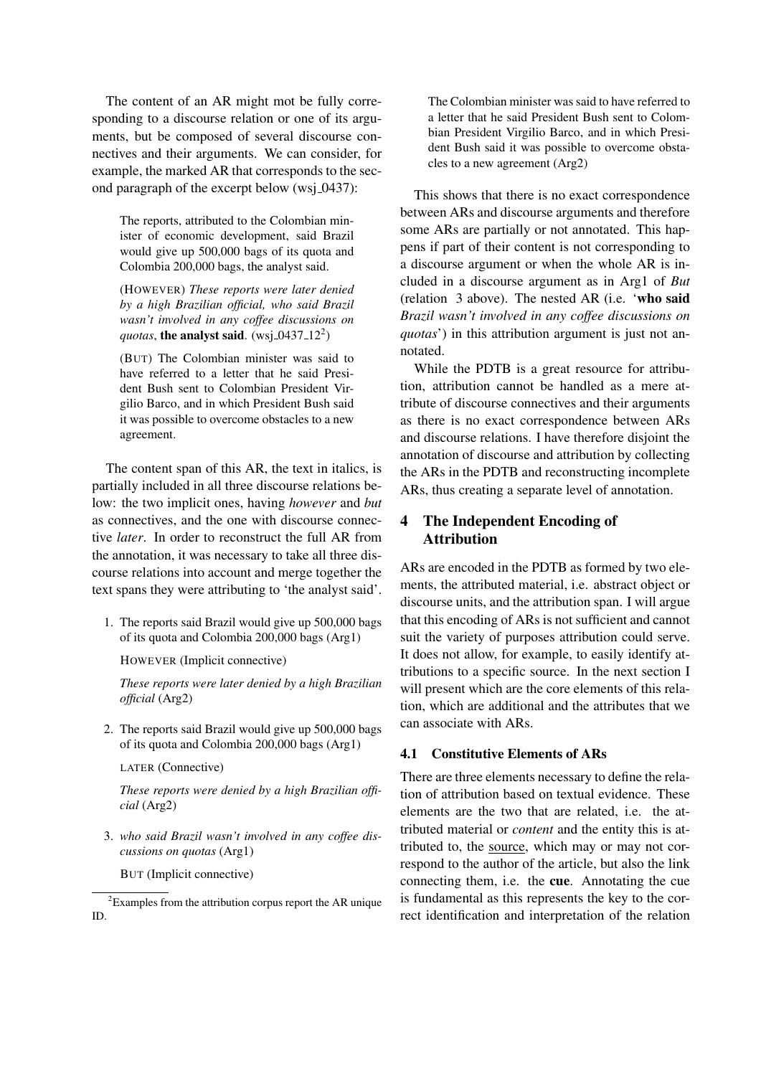The content of an AR might mot be fully corresponding to a discourse relation or one of its arguments, but be composed of several discourse connectives and their arguments. We can consider, for example, the marked AR that corresponds to the second paragraph of the excerpt below (ws $j_0$ –0437):

The reports, attributed to the Colombian minister of economic development, said Brazil would give up 500,000 bags of its quota and Colombia 200,000 bags, the analyst said.

(HOWEVER) *These reports were later denied by a high Brazilian official, who said Brazil wasn't involved in any coffee discussions on* quotas, **the analyst said**. (wsj<sub>-0437-12<sup>2</sup>)</sub>

(BUT) The Colombian minister was said to have referred to a letter that he said President Bush sent to Colombian President Virgilio Barco, and in which President Bush said it was possible to overcome obstacles to a new agreement.

The content span of this AR, the text in italics, is partially included in all three discourse relations below: the two implicit ones, having *however* and *but* as connectives, and the one with discourse connective *later*. In order to reconstruct the full AR from the annotation, it was necessary to take all three discourse relations into account and merge together the text spans they were attributing to 'the analyst said'.

1. The reports said Brazil would give up 500,000 bags of its quota and Colombia 200,000 bags (Arg1)

HOWEVER (Implicit connective)

*These reports were later denied by a high Brazilian official* (Arg2)

2. The reports said Brazil would give up 500,000 bags of its quota and Colombia 200,000 bags (Arg1)

LATER (Connective)

*These reports were denied by a high Brazilian official* (Arg2)

3. *who said Brazil wasn't involved in any coffee discussions on quotas* (Arg1)

BUT (Implicit connective)

The Colombian minister was said to have referred to a letter that he said President Bush sent to Colombian President Virgilio Barco, and in which President Bush said it was possible to overcome obstacles to a new agreement (Arg2)

This shows that there is no exact correspondence between ARs and discourse arguments and therefore some ARs are partially or not annotated. This happens if part of their content is not corresponding to a discourse argument or when the whole AR is included in a discourse argument as in Arg1 of *But* (relation 3 above). The nested AR (i.e. 'who said *Brazil wasn't involved in any coffee discussions on quotas*') in this attribution argument is just not annotated.

While the PDTB is a great resource for attribution, attribution cannot be handled as a mere attribute of discourse connectives and their arguments as there is no exact correspondence between ARs and discourse relations. I have therefore disjoint the annotation of discourse and attribution by collecting the ARs in the PDTB and reconstructing incomplete ARs, thus creating a separate level of annotation.

# 4 The Independent Encoding of Attribution

ARs are encoded in the PDTB as formed by two elements, the attributed material, i.e. abstract object or discourse units, and the attribution span. I will argue that this encoding of ARs is not sufficient and cannot suit the variety of purposes attribution could serve. It does not allow, for example, to easily identify attributions to a specific source. In the next section I will present which are the core elements of this relation, which are additional and the attributes that we can associate with ARs.

# 4.1 Constitutive Elements of ARs

There are three elements necessary to define the relation of attribution based on textual evidence. These elements are the two that are related, i.e. the attributed material or *content* and the entity this is attributed to, the source, which may or may not correspond to the author of the article, but also the link connecting them, i.e. the cue. Annotating the cue is fundamental as this represents the key to the correct identification and interpretation of the relation

<sup>&</sup>lt;sup>2</sup>Examples from the attribution corpus report the AR unique ID.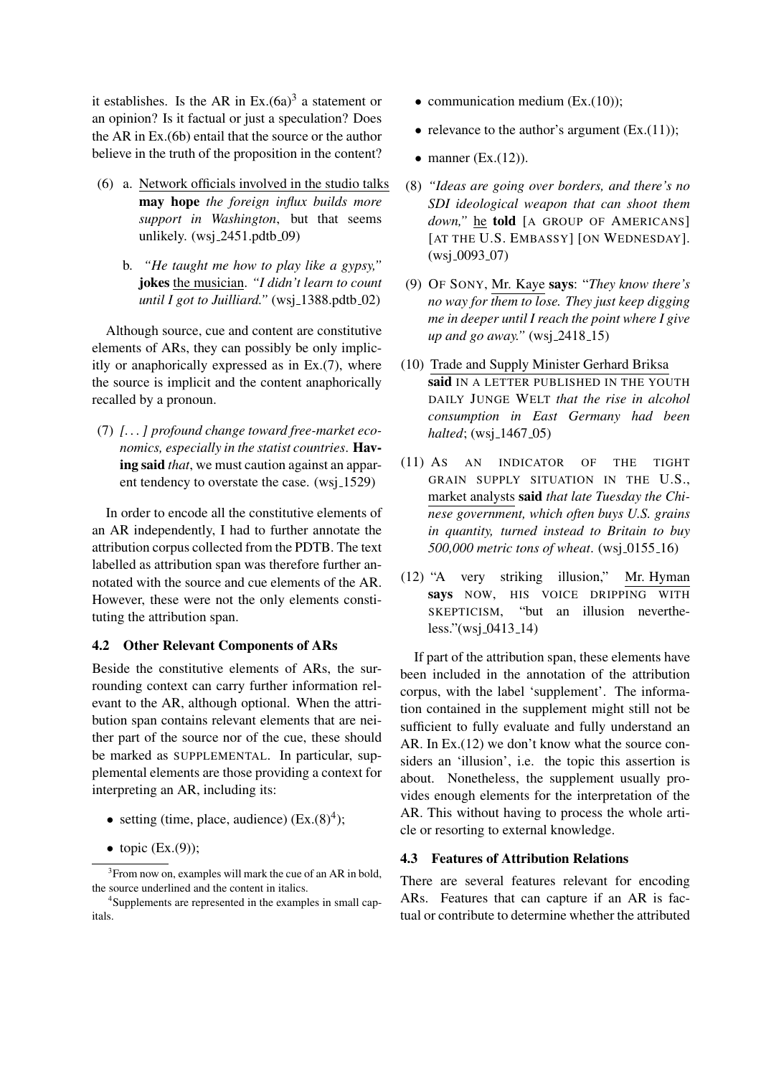it establishes. Is the AR in  $Ex.(6a)^3$  a statement or an opinion? Is it factual or just a speculation? Does the AR in Ex.(6b) entail that the source or the author believe in the truth of the proposition in the content?

- (6) a. Network officials involved in the studio talks may hope *the foreign influx builds more support in Washington*, but that seems unlikely.  $(wsj_2451.pdf_0$ 
	- b. *"He taught me how to play like a gypsy,"* jokes the musician. *"I didn't learn to count until I got to Juilliard.*" (wsj<sub>-1388.pdtb<sub>-02)</sub></sub>

Although source, cue and content are constitutive elements of ARs, they can possibly be only implicitly or anaphorically expressed as in Ex.(7), where the source is implicit and the content anaphorically recalled by a pronoun.

(7) *[. . . ] profound change toward free-market economics, especially in the statist countries*. Having said *that*, we must caution against an apparent tendency to overstate the case. (wsj<sub>-1529)</sub>

In order to encode all the constitutive elements of an AR independently, I had to further annotate the attribution corpus collected from the PDTB. The text labelled as attribution span was therefore further annotated with the source and cue elements of the AR. However, these were not the only elements constituting the attribution span.

## 4.2 Other Relevant Components of ARs

Beside the constitutive elements of ARs, the surrounding context can carry further information relevant to the AR, although optional. When the attribution span contains relevant elements that are neither part of the source nor of the cue, these should be marked as SUPPLEMENTAL. In particular, supplemental elements are those providing a context for interpreting an AR, including its:

- setting (time, place, audience)  $(EX.(8)<sup>4</sup>)$ ;
- topic (Ex.(9));
- communication medium (Ex.(10));
- relevance to the author's argument (Ex.(11));
- manner (Ex.(12)).
- (8) *"Ideas are going over borders, and there's no SDI ideological weapon that can shoot them* down," he **told** [A GROUP OF AMERICANS] [AT THE U.S. EMBASSY] [ON WEDNESDAY].  $(wsj_0093_07)$
- (9) OF SONY, Mr. Kaye says: "*They know there's no way for them to lose. They just keep digging me in deeper until I reach the point where I give up and go away.*" (wsj\_2418\_15)
- (10) Trade and Supply Minister Gerhard Briksa said IN A LETTER PUBLISHED IN THE YOUTH DAILY JUNGE WELT *that the rise in alcohol consumption in East Germany had been halted*; (wsj<sub>-</sub>1467<sub>-05</sub>)
- (11) AS AN INDICATOR OF THE TIGHT GRAIN SUPPLY SITUATION IN THE U.S., market analysts said *that late Tuesday the Chinese government, which often buys U.S. grains in quantity, turned instead to Britain to buy 500,000 metric tons of wheat.* (wsj\_0155\_16)
- (12) "A very striking illusion," Mr. Hyman says NOW, HIS VOICE DRIPPING WITH SKEPTICISM, "but an illusion neverthe $less."$ (wsj\_0413\_14)

If part of the attribution span, these elements have been included in the annotation of the attribution corpus, with the label 'supplement'. The information contained in the supplement might still not be sufficient to fully evaluate and fully understand an AR. In Ex.(12) we don't know what the source considers an 'illusion', i.e. the topic this assertion is about. Nonetheless, the supplement usually provides enough elements for the interpretation of the AR. This without having to process the whole article or resorting to external knowledge.

## 4.3 Features of Attribution Relations

There are several features relevant for encoding ARs. Features that can capture if an AR is factual or contribute to determine whether the attributed

 $3$ From now on, examples will mark the cue of an AR in bold, the source underlined and the content in italics.

<sup>&</sup>lt;sup>4</sup>Supplements are represented in the examples in small capitals.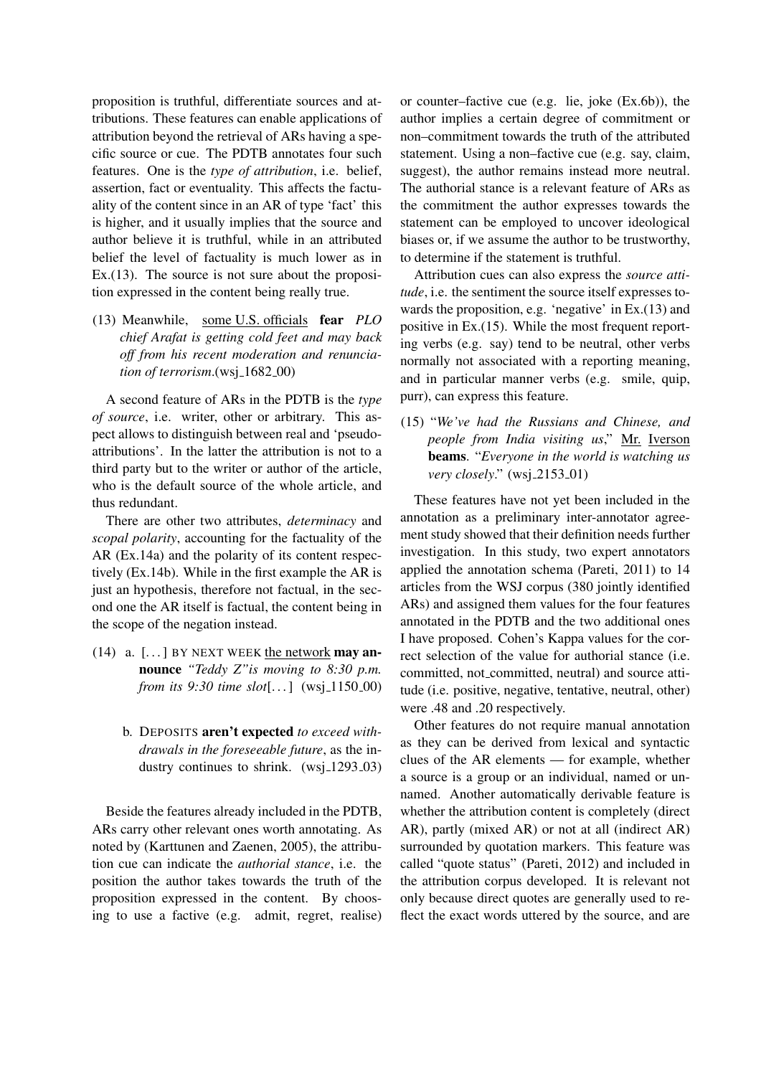proposition is truthful, differentiate sources and attributions. These features can enable applications of attribution beyond the retrieval of ARs having a specific source or cue. The PDTB annotates four such features. One is the *type of attribution*, i.e. belief, assertion, fact or eventuality. This affects the factuality of the content since in an AR of type 'fact' this is higher, and it usually implies that the source and author believe it is truthful, while in an attributed belief the level of factuality is much lower as in Ex.(13). The source is not sure about the proposition expressed in the content being really true.

(13) Meanwhile, some U.S. officials fear *PLO chief Arafat is getting cold feet and may back off from his recent moderation and renunciation of terrorism*.(wsj<sub>-1682-00)</sub>

A second feature of ARs in the PDTB is the *type of source*, i.e. writer, other or arbitrary. This aspect allows to distinguish between real and 'pseudoattributions'. In the latter the attribution is not to a third party but to the writer or author of the article, who is the default source of the whole article, and thus redundant.

There are other two attributes, *determinacy* and *scopal polarity*, accounting for the factuality of the AR (Ex.14a) and the polarity of its content respectively (Ex.14b). While in the first example the AR is just an hypothesis, therefore not factual, in the second one the AR itself is factual, the content being in the scope of the negation instead.

- (14) a.  $\lceil \ldots \rceil$  BY NEXT WEEK the network may announce *"Teddy Z"is moving to 8:30 p.m. from its 9:30 time slot*[...] (wsj\_1150\_00)
	- b. DEPOSITS aren't expected *to exceed withdrawals in the foreseeable future*, as the industry continues to shrink.  $(wsi_1 1293.03)$

Beside the features already included in the PDTB, ARs carry other relevant ones worth annotating. As noted by (Karttunen and Zaenen, 2005), the attribution cue can indicate the *authorial stance*, i.e. the position the author takes towards the truth of the proposition expressed in the content. By choosing to use a factive (e.g. admit, regret, realise)

or counter–factive cue (e.g. lie, joke (Ex.6b)), the author implies a certain degree of commitment or non–commitment towards the truth of the attributed statement. Using a non–factive cue (e.g. say, claim, suggest), the author remains instead more neutral. The authorial stance is a relevant feature of ARs as the commitment the author expresses towards the statement can be employed to uncover ideological biases or, if we assume the author to be trustworthy, to determine if the statement is truthful.

Attribution cues can also express the *source attitude*, i.e. the sentiment the source itself expresses towards the proposition, e.g. 'negative' in Ex.(13) and positive in Ex.(15). While the most frequent reporting verbs (e.g. say) tend to be neutral, other verbs normally not associated with a reporting meaning, and in particular manner verbs (e.g. smile, quip, purr), can express this feature.

(15) "*We've had the Russians and Chinese, and people from India visiting us*," Mr. Iverson beams. "*Everyone in the world is watching us very closely.*" (wsj.2153.01)

These features have not yet been included in the annotation as a preliminary inter-annotator agreement study showed that their definition needs further investigation. In this study, two expert annotators applied the annotation schema (Pareti, 2011) to 14 articles from the WSJ corpus (380 jointly identified ARs) and assigned them values for the four features annotated in the PDTB and the two additional ones I have proposed. Cohen's Kappa values for the correct selection of the value for authorial stance (i.e. committed, not committed, neutral) and source attitude (i.e. positive, negative, tentative, neutral, other) were .48 and .20 respectively.

Other features do not require manual annotation as they can be derived from lexical and syntactic clues of the AR elements — for example, whether a source is a group or an individual, named or unnamed. Another automatically derivable feature is whether the attribution content is completely (direct AR), partly (mixed AR) or not at all (indirect AR) surrounded by quotation markers. This feature was called "quote status" (Pareti, 2012) and included in the attribution corpus developed. It is relevant not only because direct quotes are generally used to reflect the exact words uttered by the source, and are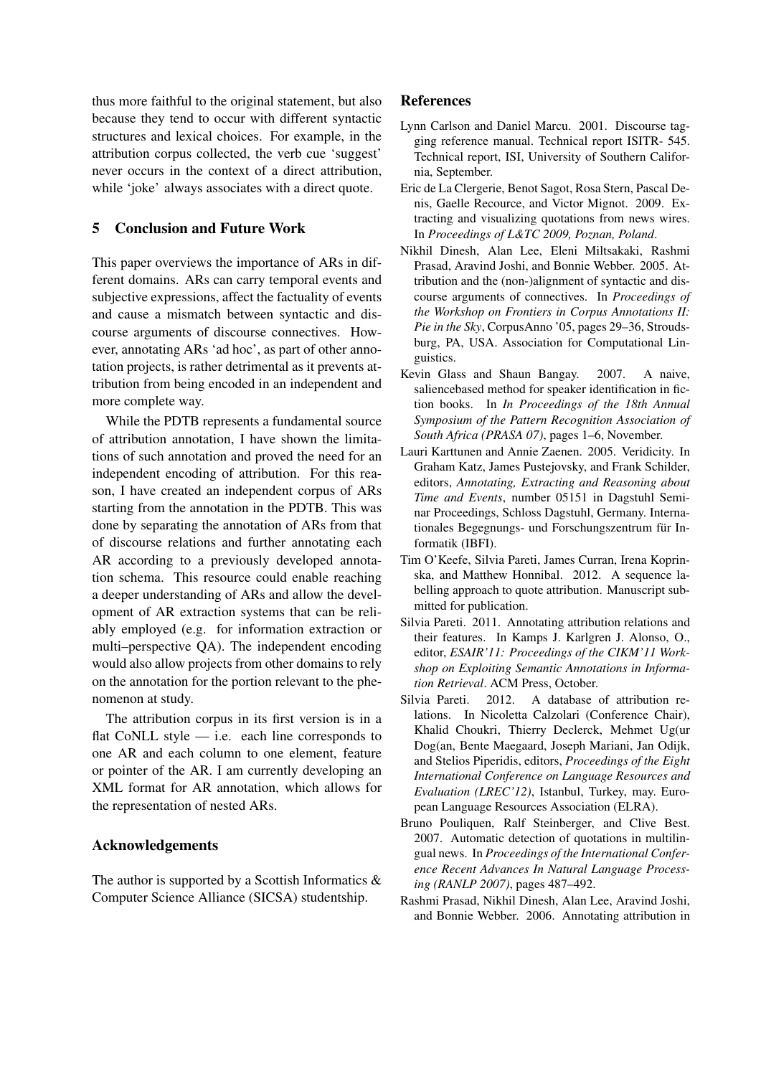thus more faithful to the original statement, but also because they tend to occur with different syntactic structures and lexical choices. For example, in the attribution corpus collected, the verb cue 'suggest' never occurs in the context of a direct attribution, while 'joke' always associates with a direct quote.

# 5 Conclusion and Future Work

This paper overviews the importance of ARs in different domains. ARs can carry temporal events and subjective expressions, affect the factuality of events and cause a mismatch between syntactic and discourse arguments of discourse connectives. However, annotating ARs 'ad hoc', as part of other annotation projects, is rather detrimental as it prevents attribution from being encoded in an independent and more complete way.

While the PDTB represents a fundamental source of attribution annotation, I have shown the limitations of such annotation and proved the need for an independent encoding of attribution. For this reason, I have created an independent corpus of ARs starting from the annotation in the PDTB. This was done by separating the annotation of ARs from that of discourse relations and further annotating each AR according to a previously developed annotation schema. This resource could enable reaching a deeper understanding of ARs and allow the development of AR extraction systems that can be reliably employed (e.g. for information extraction or multi–perspective QA). The independent encoding would also allow projects from other domains to rely on the annotation for the portion relevant to the phenomenon at study.

The attribution corpus in its first version is in a flat CoNLL style  $-$  i.e. each line corresponds to one AR and each column to one element, feature or pointer of the AR. I am currently developing an XML format for AR annotation, which allows for the representation of nested ARs.

# Acknowledgements

The author is supported by a Scottish Informatics  $\&$ Computer Science Alliance (SICSA) studentship.

# References

- Lynn Carlson and Daniel Marcu. 2001. Discourse tagging reference manual. Technical report ISITR- 545. Technical report, ISI, University of Southern California, September.
- Eric de La Clergerie, Benot Sagot, Rosa Stern, Pascal Denis, Gaelle Recource, and Victor Mignot. 2009. Extracting and visualizing quotations from news wires. In *Proceedings of L&TC 2009, Poznan, Poland*.
- Nikhil Dinesh, Alan Lee, Eleni Miltsakaki, Rashmi Prasad, Aravind Joshi, and Bonnie Webber. 2005. Attribution and the (non-)alignment of syntactic and discourse arguments of connectives. In *Proceedings of the Workshop on Frontiers in Corpus Annotations II: Pie in the Sky*, CorpusAnno '05, pages 29–36, Stroudsburg, PA, USA. Association for Computational Linguistics.
- Kevin Glass and Shaun Bangay. 2007. A naive, saliencebased method for speaker identification in fiction books. In *In Proceedings of the 18th Annual Symposium of the Pattern Recognition Association of South Africa (PRASA 07)*, pages 1–6, November.
- Lauri Karttunen and Annie Zaenen. 2005. Veridicity. In Graham Katz, James Pustejovsky, and Frank Schilder, editors, *Annotating, Extracting and Reasoning about Time and Events*, number 05151 in Dagstuhl Seminar Proceedings, Schloss Dagstuhl, Germany. Internationales Begegnungs- und Forschungszentrum für Informatik (IBFI).
- Tim O'Keefe, Silvia Pareti, James Curran, Irena Koprinska, and Matthew Honnibal. 2012. A sequence labelling approach to quote attribution. Manuscript submitted for publication.
- Silvia Pareti. 2011. Annotating attribution relations and their features. In Kamps J. Karlgren J. Alonso, O., editor, *ESAIR'11: Proceedings of the CIKM'11 Workshop on Exploiting Semantic Annotations in Information Retrieval*. ACM Press, October.
- Silvia Pareti. 2012. A database of attribution relations. In Nicoletta Calzolari (Conference Chair), Khalid Choukri, Thierry Declerck, Mehmet Ug(ur Dog(an, Bente Maegaard, Joseph Mariani, Jan Odijk, and Stelios Piperidis, editors, *Proceedings of the Eight International Conference on Language Resources and Evaluation (LREC'12)*, Istanbul, Turkey, may. European Language Resources Association (ELRA).
- Bruno Pouliquen, Ralf Steinberger, and Clive Best. 2007. Automatic detection of quotations in multilingual news. In *Proceedings of the International Conference Recent Advances In Natural Language Processing (RANLP 2007)*, pages 487–492.
- Rashmi Prasad, Nikhil Dinesh, Alan Lee, Aravind Joshi, and Bonnie Webber. 2006. Annotating attribution in